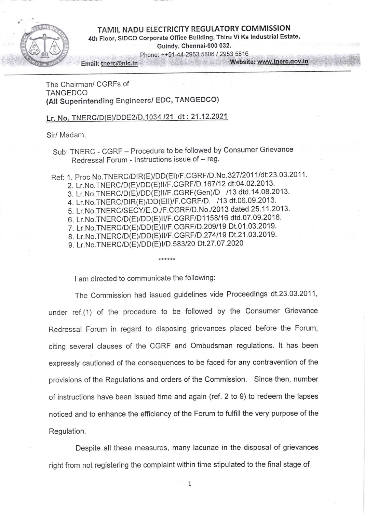## TAMIL NADU ELECTRICITY REGULATORY COMMISSION

t;

4th Floor, SIDCO Corporate Office Building, Thiru Vi Ka Industrial Estate, GuindY, Chennai-600 032.

Phone: ++91-44-2953 5806 / 2953 5816

Email: tnerc@nic.in Website: www.tnerc.gov.in

The Chairman/ CGRFs of **TANGEDCO** (All Superintending Engineers/ EDC, TANGEDCO)

Lr. No. TNERCiD (E\IDDEZID. 1034 121 dt:.21.12.2021

Sir/ Madam,

Sub: TNERC - CGRF - Procedure to be followed by Consumer Grievance Redressal Forum - Instructions issue of - reg.

Ref: 1. Proc.No.TNERC/DIR(E)/DD(EI)/F.CGRF/D.No.327/2011/dt:23.03.2011. 2. Lr.No.TNERC/D(E)/DD(E)II/F.CGRF/D.167/12 dt:04.02.2013. 3. Lr.No.TNERC/D(E)/DD(E)II/F.CGRF(Gen)/D /13 dtd.14.08.2013. 4. Lr.No.TNERC/DIR(E)/DD(EII)/F.CGRF/D. /13 dt.06.09.2013. 5. Lr.No.TNERC/SECY/E.O./F.CGRF/D.No./2013 dated 25.11.2013. 6. Lr.No.TNERC/D(E)/DD(E)II/F.CGRF/D1158/16 dtd.07.09.2016. 7. Lr.No.TNERC/D(E)/DD(E)II/F.CGRF/D.209/19 Dt.01.03.2019. 8. Lr.No.TNERC/D(E)/DD(E)II/F.CGRF/D.274/19 Dt.21.03.2019. 9. Lr. No. TNERC/D(E)/DD(E) I/D.583/20 Dt. 27.07.2020

\*\*\*\*\*\*

I am directed to communicate the following:

The Commission had issued guidelines vide Proceedings dt.23.03.2011, under ref.(1) of the procedure to be followed by the Consumer Grievance Redressal Forum in regard to disposing grievances placed before the Forum, citing several clauses of the CGRF and Ombudsman regulations. lt has been expressly cautioned of the consequences to be faced for any contravention of the provisions of the Regulations and orders of the Commission. Since then, number of instructions have been issued time and again (ref. 2 to 9) to redeem the lapses noticed and to enhance the efficiency of the Forum to fulfill the very purpose of the Regulation.

Despite all these measures, many lacunae in the disposal of grievances right from not registering the complaint within time stipulated to the final stage of